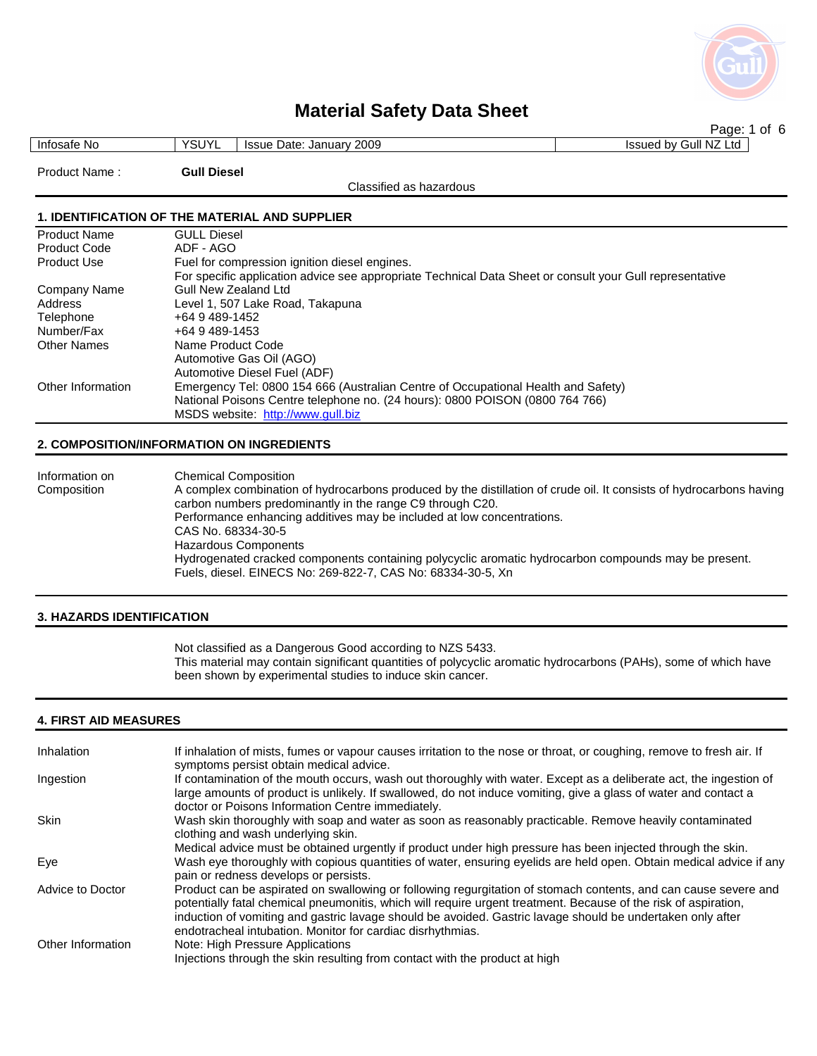

|                     |                                                                                                          | Page: 1 of 6          |  |
|---------------------|----------------------------------------------------------------------------------------------------------|-----------------------|--|
| Infosafe No         | <b>YSUYL</b><br><b>Issue Date: January 2009</b>                                                          | Issued by Gull NZ Ltd |  |
| Product Name:       | <b>Gull Diesel</b>                                                                                       |                       |  |
|                     | Classified as hazardous                                                                                  |                       |  |
|                     |                                                                                                          |                       |  |
|                     | <b>1. IDENTIFICATION OF THE MATERIAL AND SUPPLIER</b>                                                    |                       |  |
| <b>Product Name</b> | <b>GULL Diesel</b>                                                                                       |                       |  |
| <b>Product Code</b> | ADF - AGO                                                                                                |                       |  |
| <b>Product Use</b>  | Fuel for compression ignition diesel engines.                                                            |                       |  |
|                     | For specific application advice see appropriate Technical Data Sheet or consult your Gull representative |                       |  |
| Company Name        | Gull New Zealand Ltd                                                                                     |                       |  |
| Address             | Level 1, 507 Lake Road, Takapuna                                                                         |                       |  |
| Telephone           | +64 9 489-1452                                                                                           |                       |  |
| Number/Fax          | +64 9 489-1453                                                                                           |                       |  |
| <b>Other Names</b>  | Name Product Code                                                                                        |                       |  |
|                     | Automotive Gas Oil (AGO)                                                                                 |                       |  |
|                     | Automotive Diesel Fuel (ADF)                                                                             |                       |  |
| Other Information   | Emergency Tel: 0800 154 666 (Australian Centre of Occupational Health and Safety)                        |                       |  |

#### **2. COMPOSITION/INFORMATION ON INGREDIENTS**

| Information on | <b>Chemical Composition</b>                                                                                                                                                      |
|----------------|----------------------------------------------------------------------------------------------------------------------------------------------------------------------------------|
| Composition    | A complex combination of hydrocarbons produced by the distillation of crude oil. It consists of hydrocarbons having<br>carbon numbers predominantly in the range C9 through C20. |
|                | Performance enhancing additives may be included at low concentrations.                                                                                                           |
|                | CAS No. 68334-30-5                                                                                                                                                               |
|                | Hazardous Components                                                                                                                                                             |
|                | Hydrogenated cracked components containing polycyclic aromatic hydrocarbon compounds may be present.                                                                             |
|                | Fuels, diesel. EINECS No: 269-822-7, CAS No: 68334-30-5, Xn                                                                                                                      |
|                |                                                                                                                                                                                  |

National Poisons Centre telephone no. (24 hours): 0800 POISON (0800 764 766)

MSDS website: http://www.gull.biz

#### **3. HAZARDS IDENTIFICATION**

 Not classified as a Dangerous Good according to NZS 5433. This material may contain significant quantities of polycyclic aromatic hydrocarbons (PAHs), some of which have been shown by experimental studies to induce skin cancer.

### **4. FIRST AID MEASURES**

| Inhalation        | If inhalation of mists, fumes or vapour causes irritation to the nose or throat, or coughing, remove to fresh air. If<br>symptoms persist obtain medical advice.                                                                                                                                                                                                                                               |
|-------------------|----------------------------------------------------------------------------------------------------------------------------------------------------------------------------------------------------------------------------------------------------------------------------------------------------------------------------------------------------------------------------------------------------------------|
| Ingestion         | If contamination of the mouth occurs, wash out thoroughly with water. Except as a deliberate act, the ingestion of<br>large amounts of product is unlikely. If swallowed, do not induce vomiting, give a glass of water and contact a<br>doctor or Poisons Information Centre immediately.                                                                                                                     |
| <b>Skin</b>       | Wash skin thoroughly with soap and water as soon as reasonably practicable. Remove heavily contaminated<br>clothing and wash underlying skin.                                                                                                                                                                                                                                                                  |
|                   | Medical advice must be obtained urgently if product under high pressure has been injected through the skin.                                                                                                                                                                                                                                                                                                    |
| Eye               | Wash eye thoroughly with copious quantities of water, ensuring eyelids are held open. Obtain medical advice if any<br>pain or redness develops or persists.                                                                                                                                                                                                                                                    |
| Advice to Doctor  | Product can be aspirated on swallowing or following regurgitation of stomach contents, and can cause severe and<br>potentially fatal chemical pneumonitis, which will require urgent treatment. Because of the risk of aspiration,<br>induction of vomiting and gastric lavage should be avoided. Gastric lavage should be undertaken only after<br>endotracheal intubation. Monitor for cardiac disrhythmias. |
| Other Information | Note: High Pressure Applications<br>Injections through the skin resulting from contact with the product at high                                                                                                                                                                                                                                                                                                |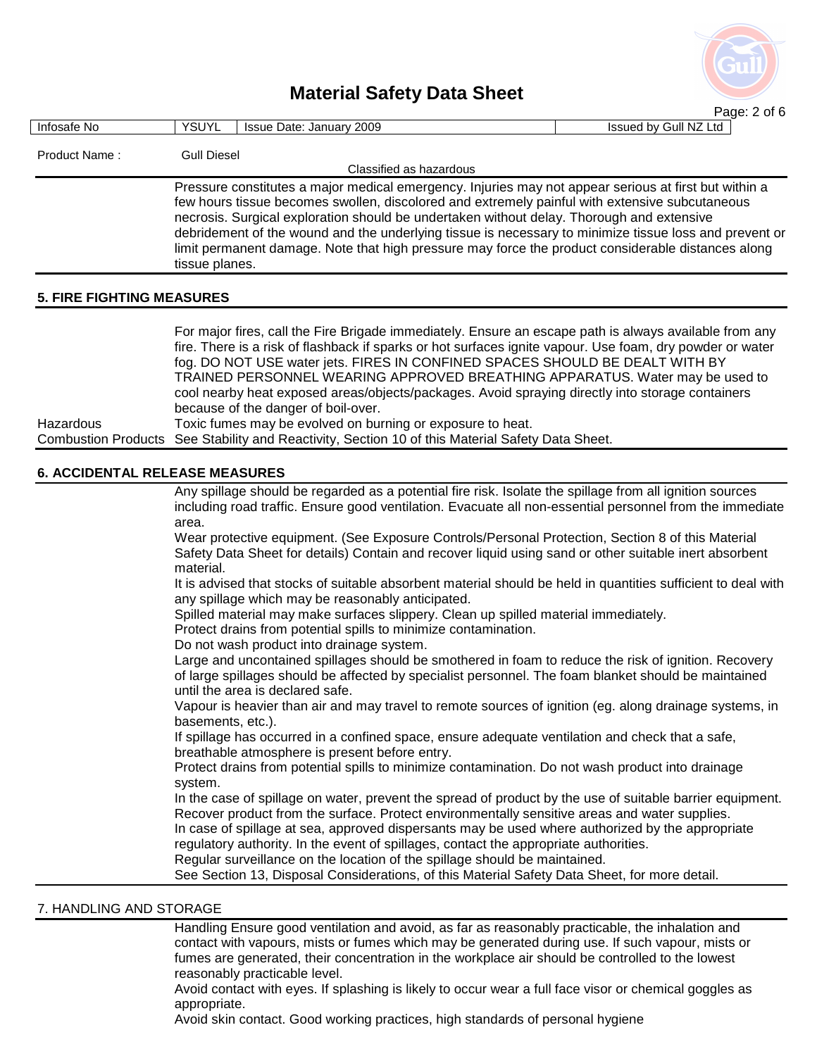

|                                       |                                                                                                  |                                                                                                                                          | Page: 2 of 6          |
|---------------------------------------|--------------------------------------------------------------------------------------------------|------------------------------------------------------------------------------------------------------------------------------------------|-----------------------|
| Infosafe No                           | <b>YSUYL</b>                                                                                     | Issue Date: January 2009                                                                                                                 | Issued by Gull NZ Ltd |
|                                       |                                                                                                  |                                                                                                                                          |                       |
| Product Name:                         | <b>Gull Diesel</b>                                                                               | Classified as hazardous                                                                                                                  |                       |
|                                       |                                                                                                  | Pressure constitutes a major medical emergency. Injuries may not appear serious at first but within a                                    |                       |
|                                       |                                                                                                  | few hours tissue becomes swollen, discolored and extremely painful with extensive subcutaneous                                           |                       |
|                                       |                                                                                                  | necrosis. Surgical exploration should be undertaken without delay. Thorough and extensive                                                |                       |
|                                       |                                                                                                  | debridement of the wound and the underlying tissue is necessary to minimize tissue loss and prevent or                                   |                       |
|                                       |                                                                                                  | limit permanent damage. Note that high pressure may force the product considerable distances along                                       |                       |
|                                       | tissue planes.                                                                                   |                                                                                                                                          |                       |
| <b>5. FIRE FIGHTING MEASURES</b>      |                                                                                                  |                                                                                                                                          |                       |
|                                       |                                                                                                  |                                                                                                                                          |                       |
|                                       |                                                                                                  | For major fires, call the Fire Brigade immediately. Ensure an escape path is always available from any                                   |                       |
|                                       |                                                                                                  | fire. There is a risk of flashback if sparks or hot surfaces ignite vapour. Use foam, dry powder or water                                |                       |
|                                       |                                                                                                  | fog. DO NOT USE water jets. FIRES IN CONFINED SPACES SHOULD BE DEALT WITH BY                                                             |                       |
|                                       |                                                                                                  | TRAINED PERSONNEL WEARING APPROVED BREATHING APPARATUS. Water may be used to                                                             |                       |
|                                       |                                                                                                  | cool nearby heat exposed areas/objects/packages. Avoid spraying directly into storage containers                                         |                       |
|                                       |                                                                                                  | because of the danger of boil-over.                                                                                                      |                       |
| Hazardous                             |                                                                                                  | Toxic fumes may be evolved on burning or exposure to heat.                                                                               |                       |
|                                       | Combustion Products See Stability and Reactivity, Section 10 of this Material Safety Data Sheet. |                                                                                                                                          |                       |
| <b>6. ACCIDENTAL RELEASE MEASURES</b> |                                                                                                  |                                                                                                                                          |                       |
|                                       |                                                                                                  | Any spillage should be regarded as a potential fire risk. Isolate the spillage from all ignition sources                                 |                       |
|                                       |                                                                                                  | including road traffic. Ensure good ventilation. Evacuate all non-essential personnel from the immediate                                 |                       |
|                                       | area.                                                                                            |                                                                                                                                          |                       |
|                                       |                                                                                                  | Wear protective equipment. (See Exposure Controls/Personal Protection, Section 8 of this Material                                        |                       |
|                                       |                                                                                                  | Safety Data Sheet for details) Contain and recover liquid using sand or other suitable inert absorbent                                   |                       |
|                                       | material.                                                                                        |                                                                                                                                          |                       |
|                                       |                                                                                                  | It is advised that stocks of suitable absorbent material should be held in quantities sufficient to deal with                            |                       |
|                                       |                                                                                                  | any spillage which may be reasonably anticipated.<br>Spilled material may make surfaces slippery. Clean up spilled material immediately. |                       |
|                                       |                                                                                                  | Protect drains from potential spills to minimize contamination.                                                                          |                       |
|                                       |                                                                                                  | Do not wash product into drainage system.                                                                                                |                       |
|                                       |                                                                                                  | Large and uncontained spillages should be smothered in foam to reduce the risk of ignition. Recovery                                     |                       |
|                                       |                                                                                                  | of large spillages should be affected by specialist personnel. The foam blanket should be maintained                                     |                       |
|                                       |                                                                                                  | until the area is declared safe.                                                                                                         |                       |
|                                       |                                                                                                  | Vapour is heavier than air and may travel to remote sources of ignition (eg. along drainage systems, in                                  |                       |
|                                       | basements, etc.).                                                                                |                                                                                                                                          |                       |
|                                       |                                                                                                  | If spillage has occurred in a confined space, ensure adequate ventilation and check that a safe,                                         |                       |
|                                       |                                                                                                  | breathable atmosphere is present before entry.                                                                                           |                       |
|                                       |                                                                                                  | Protect drains from potential spills to minimize contamination. Do not wash product into drainage                                        |                       |

system.

 In the case of spillage on water, prevent the spread of product by the use of suitable barrier equipment. Recover product from the surface. Protect environmentally sensitive areas and water supplies. In case of spillage at sea, approved dispersants may be used where authorized by the appropriate

regulatory authority. In the event of spillages, contact the appropriate authorities.

Regular surveillance on the location of the spillage should be maintained.

See Section 13, Disposal Considerations, of this Material Safety Data Sheet, for more detail.

### 7. HANDLING AND STORAGE

 Handling Ensure good ventilation and avoid, as far as reasonably practicable, the inhalation and contact with vapours, mists or fumes which may be generated during use. If such vapour, mists or fumes are generated, their concentration in the workplace air should be controlled to the lowest reasonably practicable level.

 Avoid contact with eyes. If splashing is likely to occur wear a full face visor or chemical goggles as appropriate.

Avoid skin contact. Good working practices, high standards of personal hygiene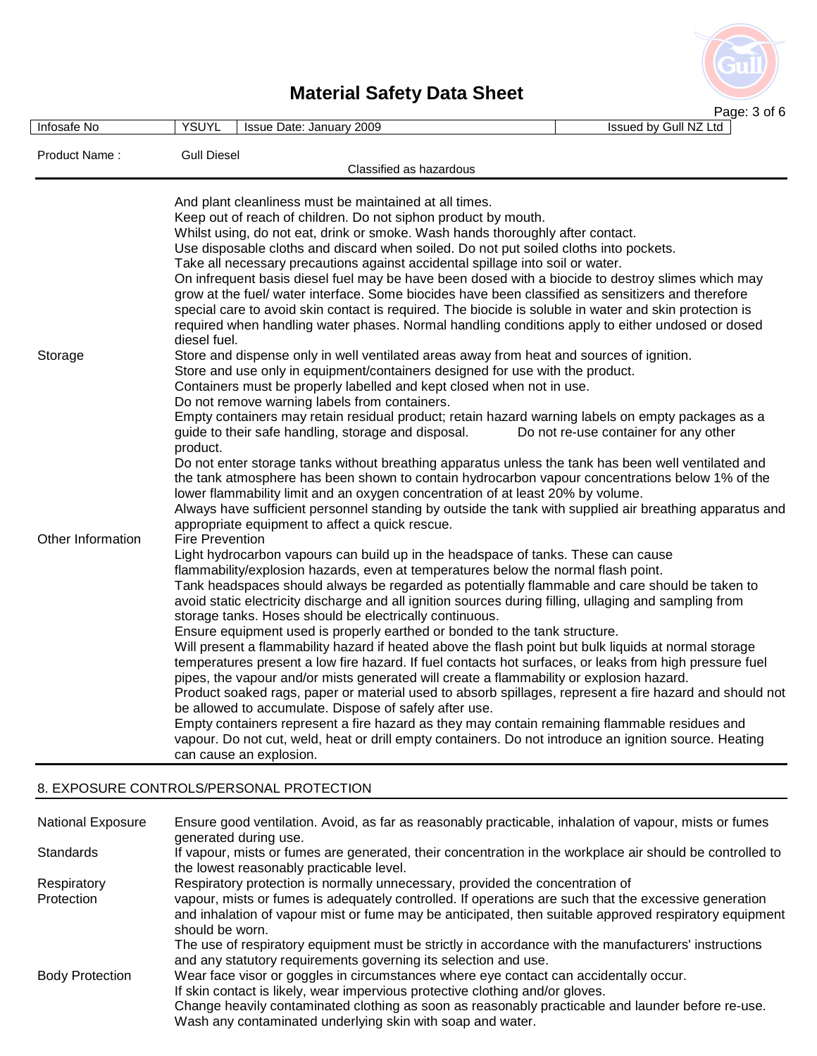

| Infosafe No       | <b>YSUYL</b>                                                                                                     | Issue Date: January 2009                                                                                                                                                                   | Page: 3 or 6<br>Issued by Gull NZ Ltd |
|-------------------|------------------------------------------------------------------------------------------------------------------|--------------------------------------------------------------------------------------------------------------------------------------------------------------------------------------------|---------------------------------------|
| Product Name:     | <b>Gull Diesel</b>                                                                                               | Classified as hazardous                                                                                                                                                                    |                                       |
|                   |                                                                                                                  |                                                                                                                                                                                            |                                       |
|                   |                                                                                                                  | And plant cleanliness must be maintained at all times.<br>Keep out of reach of children. Do not siphon product by mouth.                                                                   |                                       |
|                   |                                                                                                                  | Whilst using, do not eat, drink or smoke. Wash hands thoroughly after contact.                                                                                                             |                                       |
|                   |                                                                                                                  | Use disposable cloths and discard when soiled. Do not put soiled cloths into pockets.                                                                                                      |                                       |
|                   |                                                                                                                  | Take all necessary precautions against accidental spillage into soil or water.                                                                                                             |                                       |
|                   |                                                                                                                  | On infrequent basis diesel fuel may be have been dosed with a biocide to destroy slimes which may                                                                                          |                                       |
|                   |                                                                                                                  | grow at the fuel/ water interface. Some biocides have been classified as sensitizers and therefore                                                                                         |                                       |
|                   |                                                                                                                  | special care to avoid skin contact is required. The biocide is soluble in water and skin protection is                                                                                     |                                       |
|                   | required when handling water phases. Normal handling conditions apply to either undosed or dosed<br>diesel fuel. |                                                                                                                                                                                            |                                       |
| Storage           |                                                                                                                  | Store and dispense only in well ventilated areas away from heat and sources of ignition.                                                                                                   |                                       |
|                   |                                                                                                                  | Store and use only in equipment/containers designed for use with the product.                                                                                                              |                                       |
|                   |                                                                                                                  | Containers must be properly labelled and kept closed when not in use.                                                                                                                      |                                       |
|                   |                                                                                                                  | Do not remove warning labels from containers.                                                                                                                                              |                                       |
|                   |                                                                                                                  | Empty containers may retain residual product; retain hazard warning labels on empty packages as a<br>guide to their safe handling, storage and disposal.                                   | Do not re-use container for any other |
|                   | product.                                                                                                         |                                                                                                                                                                                            |                                       |
|                   |                                                                                                                  | Do not enter storage tanks without breathing apparatus unless the tank has been well ventilated and                                                                                        |                                       |
|                   |                                                                                                                  | the tank atmosphere has been shown to contain hydrocarbon vapour concentrations below 1% of the                                                                                            |                                       |
|                   |                                                                                                                  | lower flammability limit and an oxygen concentration of at least 20% by volume.<br>Always have sufficient personnel standing by outside the tank with supplied air breathing apparatus and |                                       |
|                   |                                                                                                                  | appropriate equipment to affect a quick rescue.                                                                                                                                            |                                       |
| Other Information | <b>Fire Prevention</b>                                                                                           |                                                                                                                                                                                            |                                       |
|                   |                                                                                                                  | Light hydrocarbon vapours can build up in the headspace of tanks. These can cause                                                                                                          |                                       |
|                   |                                                                                                                  | flammability/explosion hazards, even at temperatures below the normal flash point.                                                                                                         |                                       |
|                   |                                                                                                                  | Tank headspaces should always be regarded as potentially flammable and care should be taken to                                                                                             |                                       |
|                   |                                                                                                                  | avoid static electricity discharge and all ignition sources during filling, ullaging and sampling from<br>storage tanks. Hoses should be electrically continuous.                          |                                       |
|                   |                                                                                                                  | Ensure equipment used is properly earthed or bonded to the tank structure.                                                                                                                 |                                       |
|                   |                                                                                                                  | Will present a flammability hazard if heated above the flash point but bulk liquids at normal storage                                                                                      |                                       |
|                   |                                                                                                                  | temperatures present a low fire hazard. If fuel contacts hot surfaces, or leaks from high pressure fuel                                                                                    |                                       |
|                   |                                                                                                                  | pipes, the vapour and/or mists generated will create a flammability or explosion hazard.                                                                                                   |                                       |
|                   |                                                                                                                  | Product soaked rags, paper or material used to absorb spillages, represent a fire hazard and should not                                                                                    |                                       |
|                   |                                                                                                                  | be allowed to accumulate. Dispose of safely after use.<br>Empty containers represent a fire hazard as they may contain remaining flammable residues and                                    |                                       |
|                   |                                                                                                                  | vapour. Do not cut, weld, heat or drill empty containers. Do not introduce an ignition source. Heating                                                                                     |                                       |
|                   |                                                                                                                  | can cause an explosion.                                                                                                                                                                    |                                       |
|                   |                                                                                                                  |                                                                                                                                                                                            |                                       |

### 8. EXPOSURE CONTROLS/PERSONAL PROTECTION

| <b>National Exposure</b> | Ensure good ventilation. Avoid, as far as reasonably practicable, inhalation of vapour, mists or fumes<br>generated during use.                                                                                                    |
|--------------------------|------------------------------------------------------------------------------------------------------------------------------------------------------------------------------------------------------------------------------------|
| <b>Standards</b>         | If vapour, mists or fumes are generated, their concentration in the workplace air should be controlled to<br>the lowest reasonably practicable level.                                                                              |
| Respiratory              | Respiratory protection is normally unnecessary, provided the concentration of                                                                                                                                                      |
| Protection               | vapour, mists or fumes is adequately controlled. If operations are such that the excessive generation<br>and inhalation of vapour mist or fume may be anticipated, then suitable approved respiratory equipment<br>should be worn. |
|                          | The use of respiratory equipment must be strictly in accordance with the manufacturers' instructions<br>and any statutory requirements governing its selection and use.                                                            |
| <b>Body Protection</b>   | Wear face visor or goggles in circumstances where eye contact can accidentally occur.                                                                                                                                              |
|                          | If skin contact is likely, wear impervious protective clothing and/or gloves.                                                                                                                                                      |
|                          | Change heavily contaminated clothing as soon as reasonably practicable and launder before re-use.                                                                                                                                  |
|                          | Wash any contaminated underlying skin with soap and water.                                                                                                                                                                         |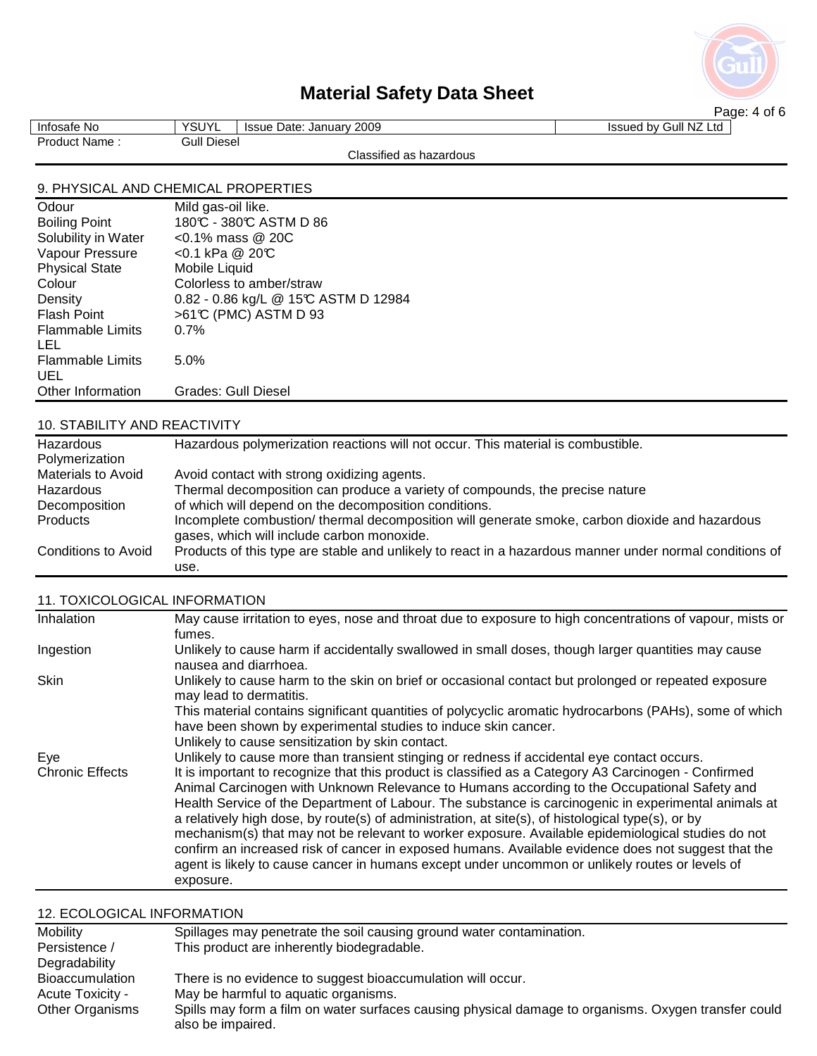

| Infosafe No   | <b>VOLIVI</b><br>ou.<br>. . | Date: January 2009<br><b>Issue</b> | Issued by Gull NZ Ltd |  |
|---------------|-----------------------------|------------------------------------|-----------------------|--|
| Product Name: | Gull Diesel                 |                                    |                       |  |
|               |                             | Classified as hazardous            |                       |  |

### 9. PHYSICAL AND CHEMICAL PROPERTIES

| Odour                   | Mild gas-oil like.                   |
|-------------------------|--------------------------------------|
| <b>Boiling Point</b>    | 180°C - 380°C ASTM D 86              |
| Solubility in Water     | $<$ 0.1% mass @ 20C                  |
| Vapour Pressure         | <0.1 kPa @ 20℃                       |
| <b>Physical State</b>   | Mobile Liquid                        |
| Colour                  | Colorless to amber/straw             |
| Density                 | 0.82 - 0.86 kg/L @ 15°C ASTM D 12984 |
| <b>Flash Point</b>      | >61°C (PMC) ASTM D 93                |
| <b>Flammable Limits</b> | 0.7%                                 |
| LEL                     |                                      |
| <b>Flammable Limits</b> | 5.0%                                 |
| UEL                     |                                      |
| Other Information       | Grades: Gull Diesel                  |

### 10. STABILITY AND REACTIVITY

| Hazardous                  | Hazardous polymerization reactions will not occur. This material is combustible.                                                             |  |
|----------------------------|----------------------------------------------------------------------------------------------------------------------------------------------|--|
| Polymerization             |                                                                                                                                              |  |
| <b>Materials to Avoid</b>  | Avoid contact with strong oxidizing agents.                                                                                                  |  |
| Hazardous                  | Thermal decomposition can produce a variety of compounds, the precise nature                                                                 |  |
| Decomposition              | of which will depend on the decomposition conditions.                                                                                        |  |
| Products                   | Incomplete combustion/ thermal decomposition will generate smoke, carbon dioxide and hazardous<br>gases, which will include carbon monoxide. |  |
| <b>Conditions to Avoid</b> | Products of this type are stable and unlikely to react in a hazardous manner under normal conditions of<br>use.                              |  |

### 11. TOXICOLOGICAL INFORMATION

| Inhalation             | May cause irritation to eyes, nose and throat due to exposure to high concentrations of vapour, mists or<br>fumes.                                                                                                                                                                                                                                                                                                                                                                                                                                                                                                                                                                                                                            |
|------------------------|-----------------------------------------------------------------------------------------------------------------------------------------------------------------------------------------------------------------------------------------------------------------------------------------------------------------------------------------------------------------------------------------------------------------------------------------------------------------------------------------------------------------------------------------------------------------------------------------------------------------------------------------------------------------------------------------------------------------------------------------------|
| Ingestion              | Unlikely to cause harm if accidentally swallowed in small doses, though larger quantities may cause<br>nausea and diarrhoea.                                                                                                                                                                                                                                                                                                                                                                                                                                                                                                                                                                                                                  |
| Skin                   | Unlikely to cause harm to the skin on brief or occasional contact but prolonged or repeated exposure<br>may lead to dermatitis.                                                                                                                                                                                                                                                                                                                                                                                                                                                                                                                                                                                                               |
|                        | This material contains significant quantities of polycyclic aromatic hydrocarbons (PAHs), some of which<br>have been shown by experimental studies to induce skin cancer.                                                                                                                                                                                                                                                                                                                                                                                                                                                                                                                                                                     |
|                        | Unlikely to cause sensitization by skin contact.                                                                                                                                                                                                                                                                                                                                                                                                                                                                                                                                                                                                                                                                                              |
| Eye                    | Unlikely to cause more than transient stinging or redness if accidental eye contact occurs.                                                                                                                                                                                                                                                                                                                                                                                                                                                                                                                                                                                                                                                   |
| <b>Chronic Effects</b> | It is important to recognize that this product is classified as a Category A3 Carcinogen - Confirmed<br>Animal Carcinogen with Unknown Relevance to Humans according to the Occupational Safety and<br>Health Service of the Department of Labour. The substance is carcinogenic in experimental animals at<br>a relatively high dose, by route(s) of administration, at site(s), of histological type(s), or by<br>mechanism(s) that may not be relevant to worker exposure. Available epidemiological studies do not<br>confirm an increased risk of cancer in exposed humans. Available evidence does not suggest that the<br>agent is likely to cause cancer in humans except under uncommon or unlikely routes or levels of<br>exposure. |

### 12. ECOLOGICAL INFORMATION

| Mobility                | Spillages may penetrate the soil causing ground water contamination.                                                      |
|-------------------------|---------------------------------------------------------------------------------------------------------------------------|
| Persistence /           | This product are inherently biodegradable.                                                                                |
| Degradability           |                                                                                                                           |
| Bioaccumulation         | There is no evidence to suggest bioaccumulation will occur.                                                               |
| <b>Acute Toxicity -</b> | May be harmful to aquatic organisms.                                                                                      |
| Other Organisms         | Spills may form a film on water surfaces causing physical damage to organisms. Oxygen transfer could<br>also be impaired. |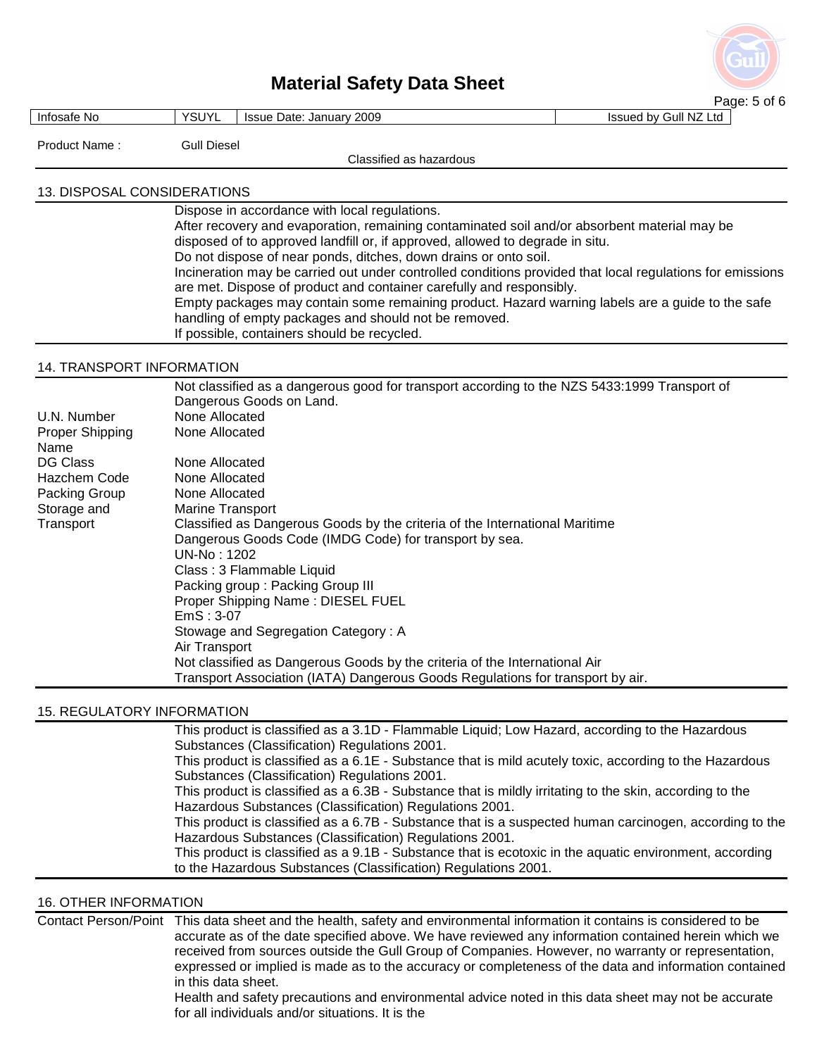

|                                                                                                                        |                                                                                                                                                                                                                                                                                                                                                                                                                                                                                                                                                                                                                                                                                                                                             | Page: 5 of 6          |
|------------------------------------------------------------------------------------------------------------------------|---------------------------------------------------------------------------------------------------------------------------------------------------------------------------------------------------------------------------------------------------------------------------------------------------------------------------------------------------------------------------------------------------------------------------------------------------------------------------------------------------------------------------------------------------------------------------------------------------------------------------------------------------------------------------------------------------------------------------------------------|-----------------------|
| Infosafe No                                                                                                            | <b>YSUYL</b><br>Issue Date: January 2009                                                                                                                                                                                                                                                                                                                                                                                                                                                                                                                                                                                                                                                                                                    | Issued by Gull NZ Ltd |
| Product Name:                                                                                                          | <b>Gull Diesel</b>                                                                                                                                                                                                                                                                                                                                                                                                                                                                                                                                                                                                                                                                                                                          |                       |
|                                                                                                                        | Classified as hazardous                                                                                                                                                                                                                                                                                                                                                                                                                                                                                                                                                                                                                                                                                                                     |                       |
|                                                                                                                        |                                                                                                                                                                                                                                                                                                                                                                                                                                                                                                                                                                                                                                                                                                                                             |                       |
| 13. DISPOSAL CONSIDERATIONS                                                                                            |                                                                                                                                                                                                                                                                                                                                                                                                                                                                                                                                                                                                                                                                                                                                             |                       |
|                                                                                                                        | Dispose in accordance with local regulations.<br>After recovery and evaporation, remaining contaminated soil and/or absorbent material may be<br>disposed of to approved landfill or, if approved, allowed to degrade in situ.<br>Do not dispose of near ponds, ditches, down drains or onto soil.<br>Incineration may be carried out under controlled conditions provided that local regulations for emissions<br>are met. Dispose of product and container carefully and responsibly.<br>Empty packages may contain some remaining product. Hazard warning labels are a guide to the safe<br>handling of empty packages and should not be removed.<br>If possible, containers should be recycled.                                         |                       |
| 14. TRANSPORT INFORMATION                                                                                              |                                                                                                                                                                                                                                                                                                                                                                                                                                                                                                                                                                                                                                                                                                                                             |                       |
| U.N. Number<br>Proper Shipping<br>Name<br><b>DG Class</b><br>Hazchem Code<br>Packing Group<br>Storage and<br>Transport | Not classified as a dangerous good for transport according to the NZS 5433:1999 Transport of<br>Dangerous Goods on Land.<br>None Allocated<br>None Allocated<br>None Allocated<br>None Allocated<br>None Allocated<br>Marine Transport<br>Classified as Dangerous Goods by the criteria of the International Maritime<br>Dangerous Goods Code (IMDG Code) for transport by sea.<br>UN-No: 1202<br>Class: 3 Flammable Liquid<br>Packing group: Packing Group III<br>Proper Shipping Name: DIESEL FUEL<br>$EmS: 3-07$<br>Stowage and Segregation Category: A<br>Air Transport<br>Not classified as Dangerous Goods by the criteria of the International Air<br>Transport Association (IATA) Dangerous Goods Regulations for transport by air. |                       |
|                                                                                                                        |                                                                                                                                                                                                                                                                                                                                                                                                                                                                                                                                                                                                                                                                                                                                             |                       |
| <b>15. REGULATORY INFORMATION</b>                                                                                      | This product is classified as a 3.1D - Flammable Liquid; Low Hazard, according to the Hazardous                                                                                                                                                                                                                                                                                                                                                                                                                                                                                                                                                                                                                                             |                       |
|                                                                                                                        | Substances (Classification) Regulations 2001.                                                                                                                                                                                                                                                                                                                                                                                                                                                                                                                                                                                                                                                                                               |                       |
|                                                                                                                        | This product is classified as a 6.1E - Substance that is mild acutely toxic, according to the Hazardous<br>Substances (Classification) Regulations 2001.                                                                                                                                                                                                                                                                                                                                                                                                                                                                                                                                                                                    |                       |

 This product is classified as a 6.3B - Substance that is mildly irritating to the skin, according to the Hazardous Substances (Classification) Regulations 2001.

 This product is classified as a 6.7B - Substance that is a suspected human carcinogen, according to the Hazardous Substances (Classification) Regulations 2001.

 This product is classified as a 9.1B - Substance that is ecotoxic in the aquatic environment, according to the Hazardous Substances (Classification) Regulations 2001.

16. OTHER INFORMATION

Contact Person/Point This data sheet and the health, safety and environmental information it contains is considered to be accurate as of the date specified above. We have reviewed any information contained herein which we received from sources outside the Gull Group of Companies. However, no warranty or representation, expressed or implied is made as to the accuracy or completeness of the data and information contained in this data sheet.

 Health and safety precautions and environmental advice noted in this data sheet may not be accurate for all individuals and/or situations. It is the